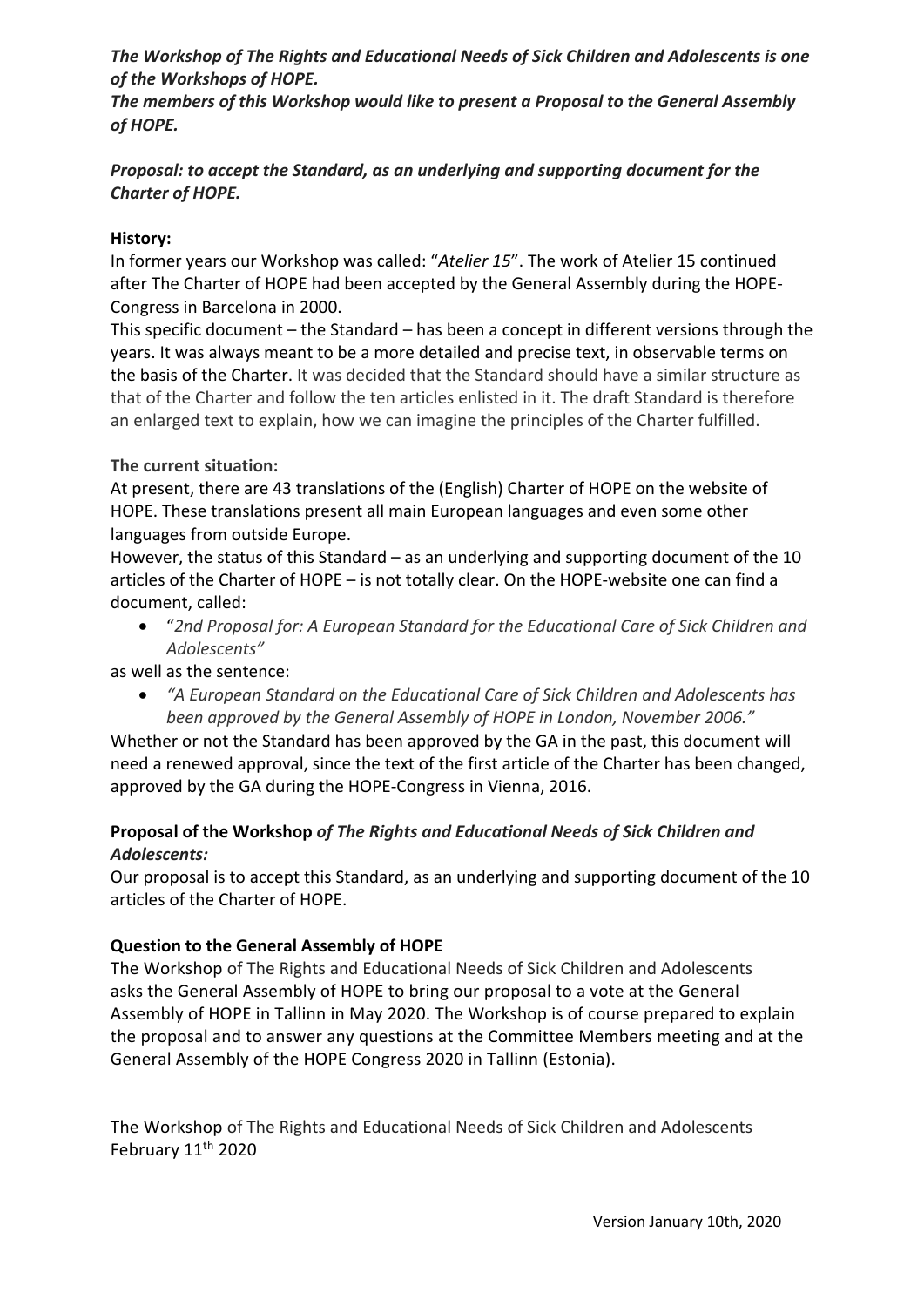*The Workshop of The Rights and Educational Needs of Sick Children and Adolescents is one of the Workshops of HOPE.* 

*The members of this Workshop would like to present a Proposal to the General Assembly of HOPE.* 

# *Proposal: to accept the Standard, as an underlying and supporting document for the Charter of HOPE.*

# **History:**

In former years our Workshop was called: "*Atelier 15*". The work of Atelier 15 continued after The Charter of HOPE had been accepted by the General Assembly during the HOPE-Congress in Barcelona in 2000.

This specific document – the Standard – has been a concept in different versions through the years. It was always meant to be a more detailed and precise text, in observable terms on the basis of the Charter. It was decided that the Standard should have a similar structure as that of the Charter and follow the ten articles enlisted in it. The draft Standard is therefore an enlarged text to explain, how we can imagine the principles of the Charter fulfilled.

#### **The current situation:**

At present, there are 43 translations of the (English) Charter of HOPE on the website of HOPE. These translations present all main European languages and even some other languages from outside Europe.

However, the status of this Standard – as an underlying and supporting document of the 10 articles of the Charter of HOPE – is not totally clear. On the HOPE-website one can find a document, called:

• "*2nd Proposal for: A European Standard for the Educational Care of Sick Children and Adolescents"*

as well as the sentence:

• *"A European Standard on the Educational Care of Sick Children and Adolescents has been approved by the General Assembly of HOPE in London, November 2006."* 

Whether or not the Standard has been approved by the GA in the past, this document will need a renewed approval, since the text of the first article of the Charter has been changed, approved by the GA during the HOPE-Congress in Vienna, 2016.

# **Proposal of the Workshop** *of The Rights and Educational Needs of Sick Children and Adolescents:*

Our proposal is to accept this Standard, as an underlying and supporting document of the 10 articles of the Charter of HOPE.

# **Question to the General Assembly of HOPE**

The Workshop of The Rights and Educational Needs of Sick Children and Adolescents asks the General Assembly of HOPE to bring our proposal to a vote at the General Assembly of HOPE in Tallinn in May 2020. The Workshop is of course prepared to explain the proposal and to answer any questions at the Committee Members meeting and at the General Assembly of the HOPE Congress 2020 in Tallinn (Estonia).

The Workshop of The Rights and Educational Needs of Sick Children and Adolescents February 11<sup>th</sup> 2020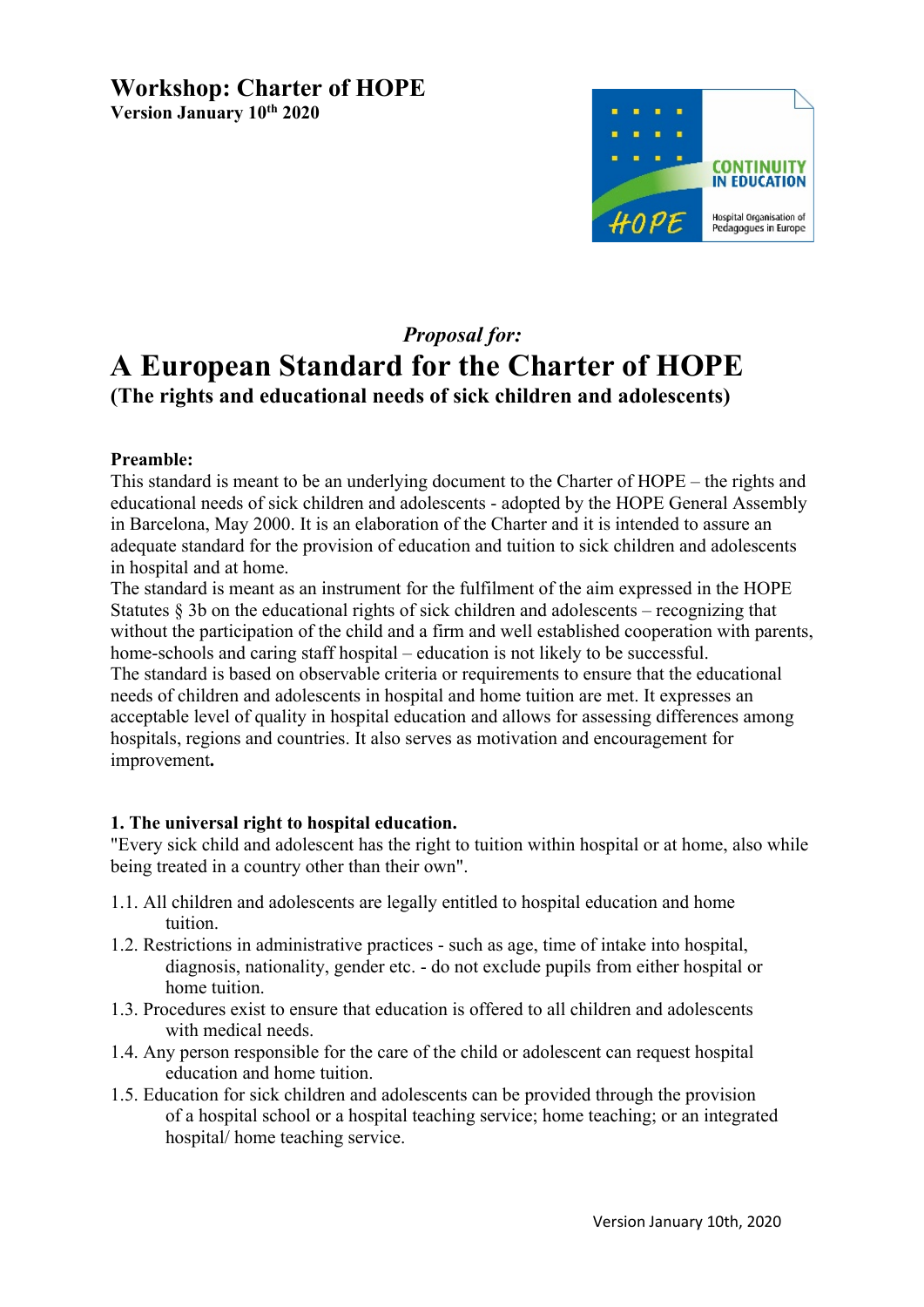# **Workshop: Charter of HOPE Version January 10th 2020**



# *Proposal for:*

# **A European Standard for the Charter of HOPE (The rights and educational needs of sick children and adolescents)**

# **Preamble:**

This standard is meant to be an underlying document to the Charter of HOPE – the rights and educational needs of sick children and adolescents - adopted by the HOPE General Assembly in Barcelona, May 2000. It is an elaboration of the Charter and it is intended to assure an adequate standard for the provision of education and tuition to sick children and adolescents in hospital and at home.

The standard is meant as an instrument for the fulfilment of the aim expressed in the HOPE Statutes  $§$  3b on the educational rights of sick children and adolescents – recognizing that without the participation of the child and a firm and well established cooperation with parents, home-schools and caring staff hospital – education is not likely to be successful.

The standard is based on observable criteria or requirements to ensure that the educational needs of children and adolescents in hospital and home tuition are met. It expresses an acceptable level of quality in hospital education and allows for assessing differences among hospitals, regions and countries. It also serves as motivation and encouragement for improvement**.**

# **1. The universal right to hospital education.**

"Every sick child and adolescent has the right to tuition within hospital or at home, also while being treated in a country other than their own".

- 1.1. All children and adolescents are legally entitled to hospital education and home tuition.
- 1.2. Restrictions in administrative practices such as age, time of intake into hospital, diagnosis, nationality, gender etc. - do not exclude pupils from either hospital or home tuition.
- 1.3. Procedures exist to ensure that education is offered to all children and adolescents with medical needs.
- 1.4. Any person responsible for the care of the child or adolescent can request hospital education and home tuition.
- 1.5. Education for sick children and adolescents can be provided through the provision of a hospital school or a hospital teaching service; home teaching; or an integrated hospital/ home teaching service.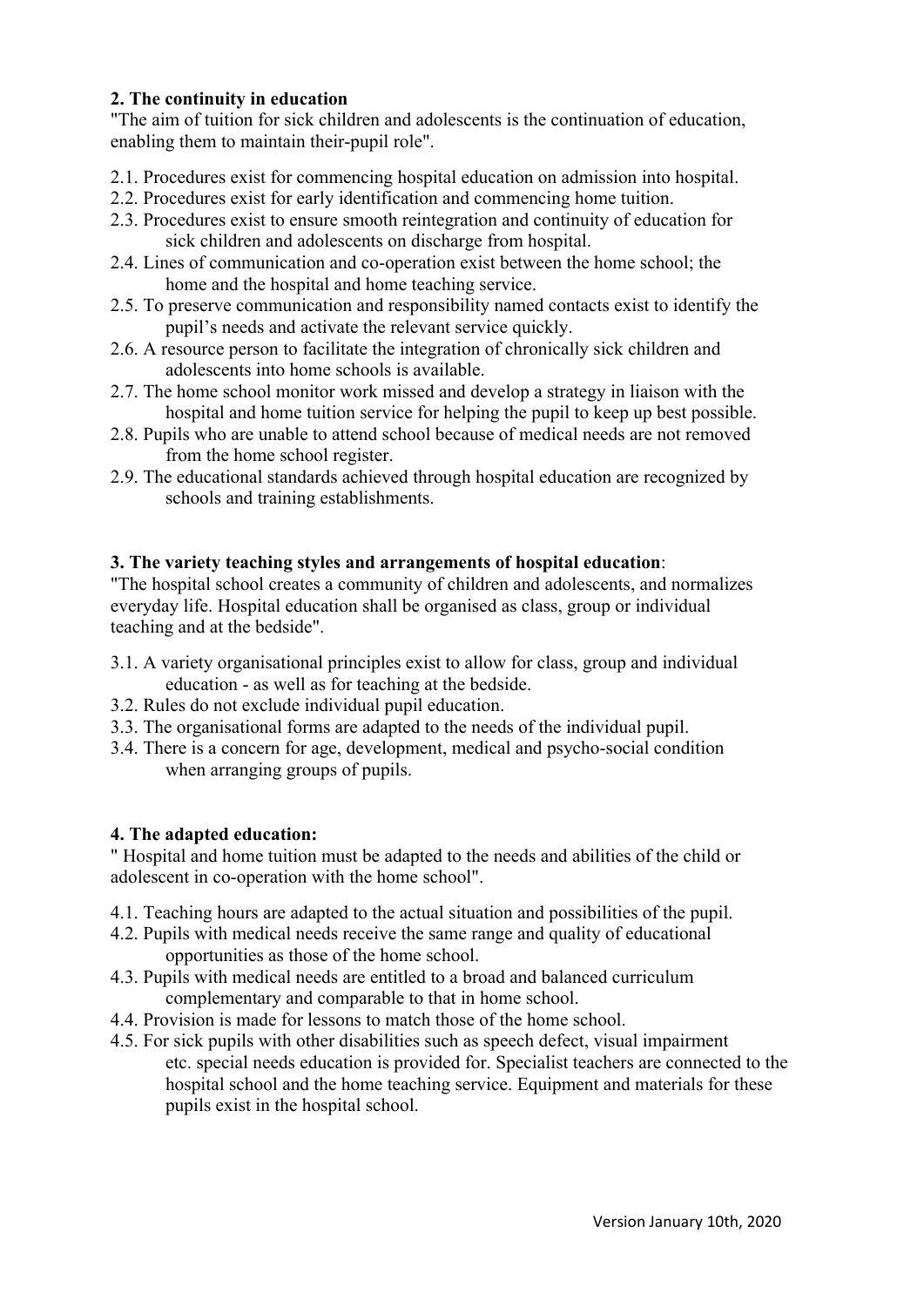# **2. The continuity in education**

"The aim of tuition for sick children and adolescents is the continuation of education, enabling them to maintain their-pupil role".

- 2.1. Procedures exist for commencing hospital education on admission into hospital.
- 2.2. Procedures exist for early identification and commencing home tuition.
- 2.3. Procedures exist to ensure smooth reintegration and continuity of education for sick children and adolescents on discharge from hospital.
- 2.4. Lines of communication and co-operation exist between the home school; the home and the hospital and home teaching service.
- 2.5. To preserve communication and responsibility named contacts exist to identify the pupil's needs and activate the relevant service quickly.
- 2.6. A resource person to facilitate the integration of chronically sick children and adolescents into home schools is available.
- 2.7. The home school monitor work missed and develop a strategy in liaison with the hospital and home tuition service for helping the pupil to keep up best possible.
- 2.8. Pupils who are unable to attend school because of medical needs are not removed from the home school register.
- 2.9. The educational standards achieved through hospital education are recognized by schools and training establishments.

# **3. The variety teaching styles and arrangements of hospital education**:

"The hospital school creates a community of children and adolescents, and normalizes everyday life. Hospital education shall be organised as class, group or individual teaching and at the bedside".

- 3.1. A variety organisational principles exist to allow for class, group and individual education - as well as for teaching at the bedside.
- 3.2. Rules do not exclude individual pupil education.
- 3.3. The organisational forms are adapted to the needs of the individual pupil.
- 3.4. There is a concern for age, development, medical and psycho-social condition when arranging groups of pupils.

# **4. The adapted education:**

" Hospital and home tuition must be adapted to the needs and abilities of the child or adolescent in co-operation with the home school".

- 4.1. Teaching hours are adapted to the actual situation and possibilities of the pupil.
- 4.2. Pupils with medical needs receive the same range and quality of educational opportunities as those of the home school.
- 4.3. Pupils with medical needs are entitled to a broad and balanced curriculum complementary and comparable to that in home school.
- 4.4. Provision is made for lessons to match those of the home school.
- 4.5. For sick pupils with other disabilities such as speech defect, visual impairment etc. special needs education is provided for. Specialist teachers are connected to the hospital school and the home teaching service. Equipment and materials for these pupils exist in the hospital school.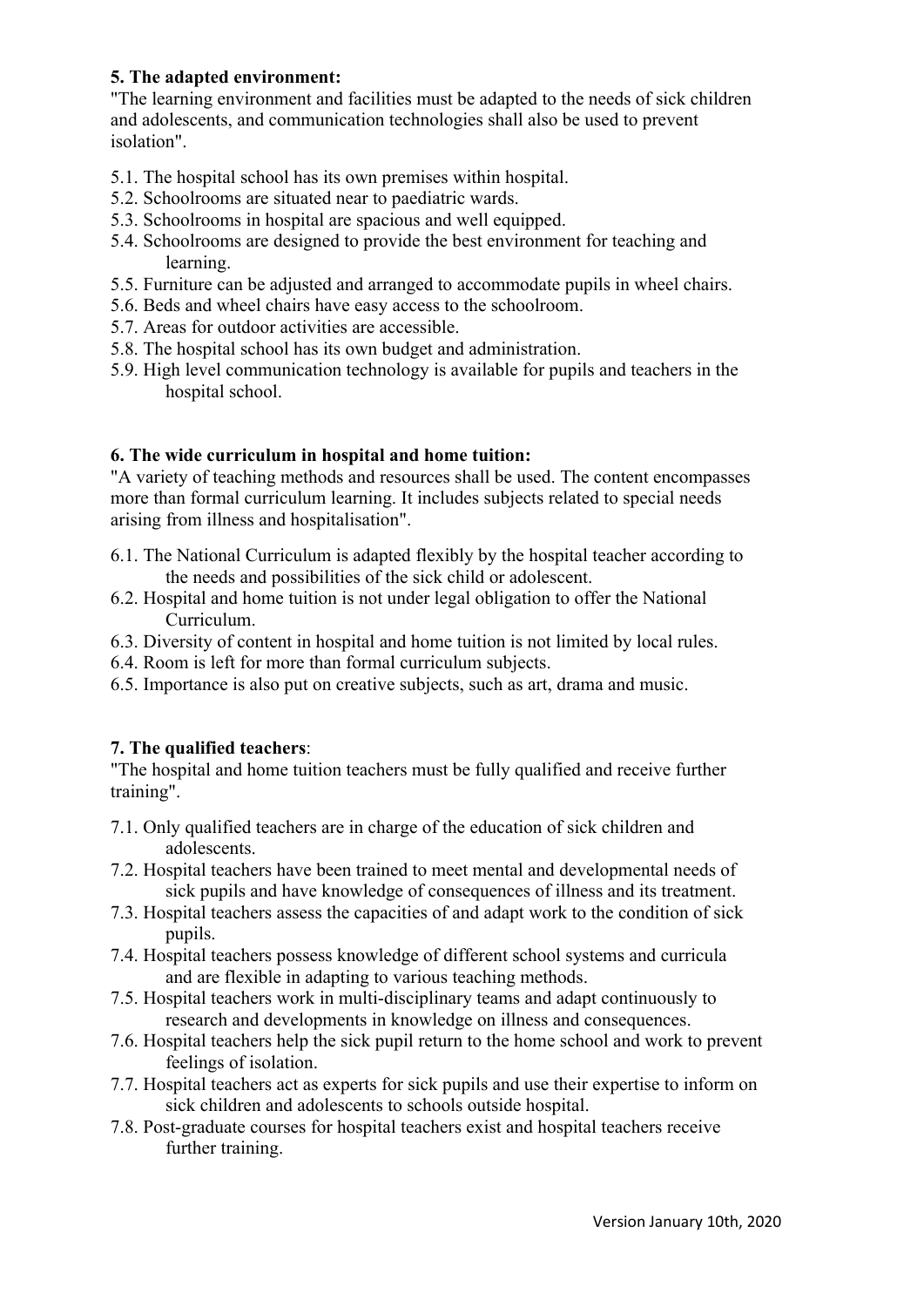# **5. The adapted environment:**

"The learning environment and facilities must be adapted to the needs of sick children and adolescents, and communication technologies shall also be used to prevent isolation".

- 5.1. The hospital school has its own premises within hospital.
- 5.2. Schoolrooms are situated near to paediatric wards.
- 5.3. Schoolrooms in hospital are spacious and well equipped.
- 5.4. Schoolrooms are designed to provide the best environment for teaching and learning.
- 5.5. Furniture can be adjusted and arranged to accommodate pupils in wheel chairs.
- 5.6. Beds and wheel chairs have easy access to the schoolroom.
- 5.7. Areas for outdoor activities are accessible.
- 5.8. The hospital school has its own budget and administration.
- 5.9. High level communication technology is available for pupils and teachers in the hospital school.

#### **6. The wide curriculum in hospital and home tuition:**

"A variety of teaching methods and resources shall be used. The content encompasses more than formal curriculum learning. It includes subjects related to special needs arising from illness and hospitalisation".

- 6.1. The National Curriculum is adapted flexibly by the hospital teacher according to the needs and possibilities of the sick child or adolescent.
- 6.2. Hospital and home tuition is not under legal obligation to offer the National Curriculum.
- 6.3. Diversity of content in hospital and home tuition is not limited by local rules.
- 6.4. Room is left for more than formal curriculum subjects.
- 6.5. Importance is also put on creative subjects, such as art, drama and music.

# **7. The qualified teachers**:

"The hospital and home tuition teachers must be fully qualified and receive further training".

- 7.1. Only qualified teachers are in charge of the education of sick children and adolescents.
- 7.2. Hospital teachers have been trained to meet mental and developmental needs of sick pupils and have knowledge of consequences of illness and its treatment.
- 7.3. Hospital teachers assess the capacities of and adapt work to the condition of sick pupils.
- 7.4. Hospital teachers possess knowledge of different school systems and curricula and are flexible in adapting to various teaching methods.
- 7.5. Hospital teachers work in multi-disciplinary teams and adapt continuously to research and developments in knowledge on illness and consequences.
- 7.6. Hospital teachers help the sick pupil return to the home school and work to prevent feelings of isolation.
- 7.7. Hospital teachers act as experts for sick pupils and use their expertise to inform on sick children and adolescents to schools outside hospital.
- 7.8. Post-graduate courses for hospital teachers exist and hospital teachers receive further training.